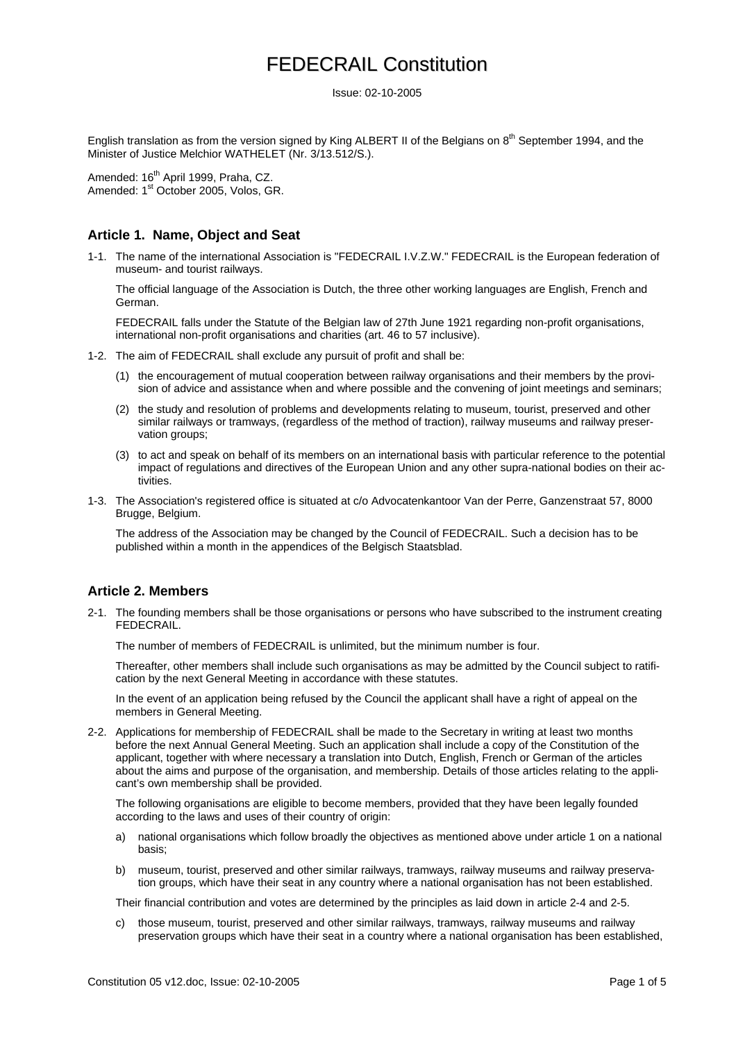Issue: 02-10-2005

English translation as from the version signed by King ALBERT II of the Belgians on 8<sup>th</sup> September 1994, and the Minister of Justice Melchior WATHELET (Nr. 3/13.512/S.).

Amended: 16<sup>th</sup> April 1999, Praha, CZ. Amended: 1<sup>st</sup> October 2005, Volos, GR.

### **Article 1. Name, Object and Seat**

1-1. The name of the international Association is "FEDECRAIL I.V.Z.W." FEDECRAIL is the European federation of museum- and tourist railways.

The official language of the Association is Dutch, the three other working languages are English, French and German.

FEDECRAIL falls under the Statute of the Belgian law of 27th June 1921 regarding non-profit organisations, international non-profit organisations and charities (art. 46 to 57 inclusive).

- 1-2. The aim of FEDECRAIL shall exclude any pursuit of profit and shall be:
	- (1) the encouragement of mutual cooperation between railway organisations and their members by the provision of advice and assistance when and where possible and the convening of joint meetings and seminars;
	- (2) the study and resolution of problems and developments relating to museum, tourist, preserved and other similar railways or tramways, (regardless of the method of traction), railway museums and railway preservation groups;
	- (3) to act and speak on behalf of its members on an international basis with particular reference to the potential impact of regulations and directives of the European Union and any other supra-national bodies on their activities.
- 1-3. The Association's registered office is situated at c/o Advocatenkantoor Van der Perre, Ganzenstraat 57, 8000 Brugge, Belgium.

The address of the Association may be changed by the Council of FEDECRAIL. Such a decision has to be published within a month in the appendices of the Belgisch Staatsblad.

### **Article 2. Members**

2-1. The founding members shall be those organisations or persons who have subscribed to the instrument creating FEDECRAIL.

The number of members of FEDECRAIL is unlimited, but the minimum number is four.

Thereafter, other members shall include such organisations as may be admitted by the Council subject to ratification by the next General Meeting in accordance with these statutes.

In the event of an application being refused by the Council the applicant shall have a right of appeal on the members in General Meeting.

2-2. Applications for membership of FEDECRAIL shall be made to the Secretary in writing at least two months before the next Annual General Meeting. Such an application shall include a copy of the Constitution of the applicant, together with where necessary a translation into Dutch, English, French or German of the articles about the aims and purpose of the organisation, and membership. Details of those articles relating to the applicant's own membership shall be provided.

The following organisations are eligible to become members, provided that they have been legally founded according to the laws and uses of their country of origin:

- a) national organisations which follow broadly the objectives as mentioned above under article 1 on a national basis;
- b) museum, tourist, preserved and other similar railways, tramways, railway museums and railway preservation groups, which have their seat in any country where a national organisation has not been established.

Their financial contribution and votes are determined by the principles as laid down in article 2-4 and 2-5.

c) those museum, tourist, preserved and other similar railways, tramways, railway museums and railway preservation groups which have their seat in a country where a national organisation has been established,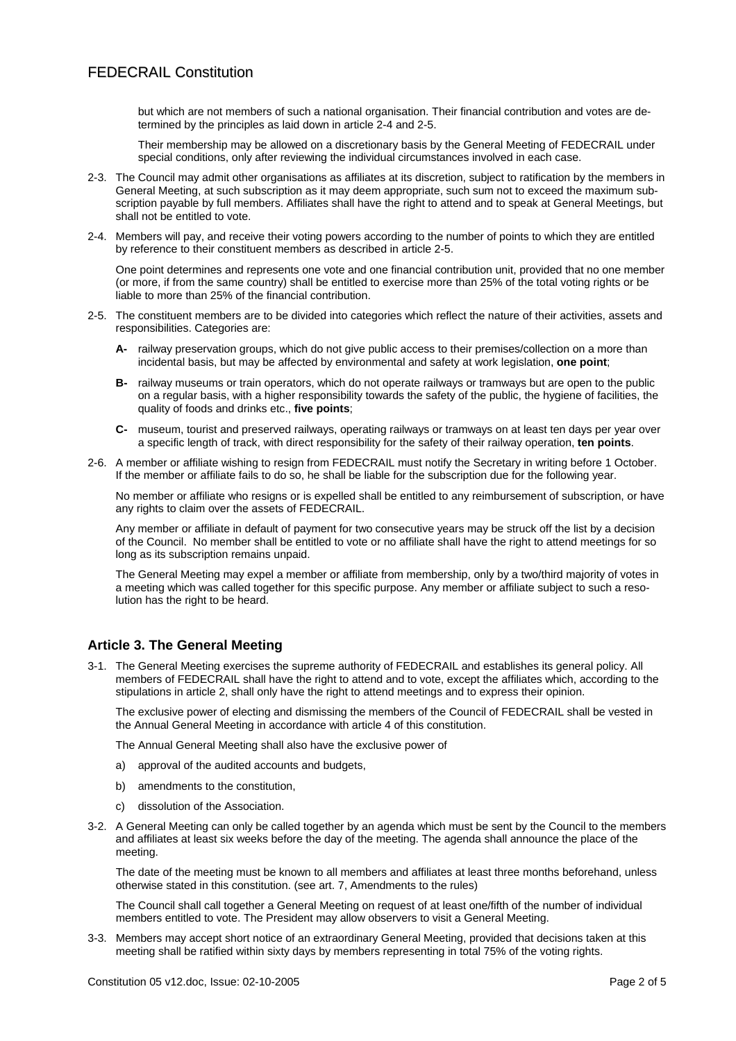but which are not members of such a national organisation. Their financial contribution and votes are determined by the principles as laid down in article 2-4 and 2-5.

Their membership may be allowed on a discretionary basis by the General Meeting of FEDECRAIL under special conditions, only after reviewing the individual circumstances involved in each case.

- 2-3. The Council may admit other organisations as affiliates at its discretion, subject to ratification by the members in General Meeting, at such subscription as it may deem appropriate, such sum not to exceed the maximum subscription payable by full members. Affiliates shall have the right to attend and to speak at General Meetings, but shall not be entitled to vote.
- 2-4. Members will pay, and receive their voting powers according to the number of points to which they are entitled by reference to their constituent members as described in article 2-5.

One point determines and represents one vote and one financial contribution unit, provided that no one member (or more, if from the same country) shall be entitled to exercise more than 25% of the total voting rights or be liable to more than 25% of the financial contribution.

- 2-5. The constituent members are to be divided into categories which reflect the nature of their activities, assets and responsibilities. Categories are:
	- **A-** railway preservation groups, which do not give public access to their premises/collection on a more than incidental basis, but may be affected by environmental and safety at work legislation, **one point**;
	- **B-** railway museums or train operators, which do not operate railways or tramways but are open to the public on a regular basis, with a higher responsibility towards the safety of the public, the hygiene of facilities, the quality of foods and drinks etc., **five points**;
	- **C-** museum, tourist and preserved railways, operating railways or tramways on at least ten days per year over a specific length of track, with direct responsibility for the safety of their railway operation, **ten points**.
- 2-6. A member or affiliate wishing to resign from FEDECRAIL must notify the Secretary in writing before 1 October. If the member or affiliate fails to do so, he shall be liable for the subscription due for the following year.

No member or affiliate who resigns or is expelled shall be entitled to any reimbursement of subscription, or have any rights to claim over the assets of FEDECRAIL.

Any member or affiliate in default of payment for two consecutive years may be struck off the list by a decision of the Council. No member shall be entitled to vote or no affiliate shall have the right to attend meetings for so long as its subscription remains unpaid.

The General Meeting may expel a member or affiliate from membership, only by a two/third majority of votes in a meeting which was called together for this specific purpose. Any member or affiliate subject to such a resolution has the right to be heard.

### **Article 3. The General Meeting**

3-1. The General Meeting exercises the supreme authority of FEDECRAIL and establishes its general policy. All members of FEDECRAIL shall have the right to attend and to vote, except the affiliates which, according to the stipulations in article 2, shall only have the right to attend meetings and to express their opinion.

The exclusive power of electing and dismissing the members of the Council of FEDECRAIL shall be vested in the Annual General Meeting in accordance with article 4 of this constitution.

The Annual General Meeting shall also have the exclusive power of

- a) approval of the audited accounts and budgets,
- b) amendments to the constitution,
- c) dissolution of the Association.
- 3-2. A General Meeting can only be called together by an agenda which must be sent by the Council to the members and affiliates at least six weeks before the day of the meeting. The agenda shall announce the place of the meeting.

The date of the meeting must be known to all members and affiliates at least three months beforehand, unless otherwise stated in this constitution. (see art. 7, Amendments to the rules)

The Council shall call together a General Meeting on request of at least one/fifth of the number of individual members entitled to vote. The President may allow observers to visit a General Meeting.

3-3. Members may accept short notice of an extraordinary General Meeting, provided that decisions taken at this meeting shall be ratified within sixty days by members representing in total 75% of the voting rights.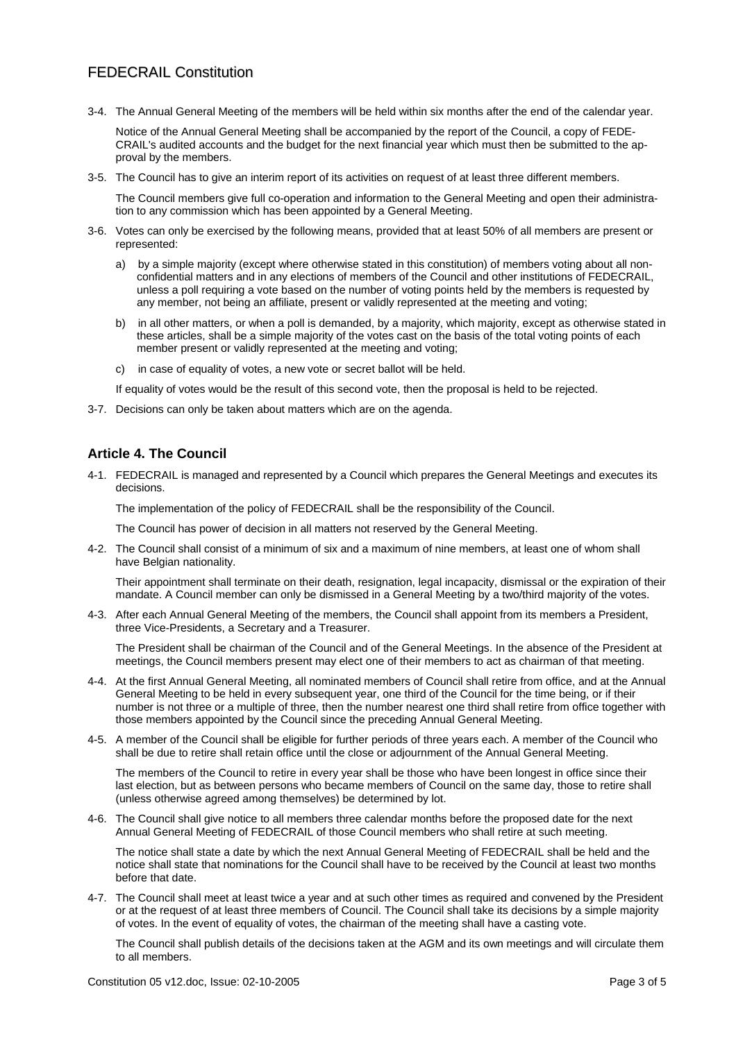# FEDECRAIL Constitution

3-4. The Annual General Meeting of the members will be held within six months after the end of the calendar year.

Notice of the Annual General Meeting shall be accompanied by the report of the Council, a copy of FEDE-CRAIL's audited accounts and the budget for the next financial year which must then be submitted to the approval by the members.

3-5. The Council has to give an interim report of its activities on request of at least three different members.

The Council members give full co-operation and information to the General Meeting and open their administration to any commission which has been appointed by a General Meeting.

- 3-6. Votes can only be exercised by the following means, provided that at least 50% of all members are present or represented:
	- a) by a simple majority (except where otherwise stated in this constitution) of members voting about all nonconfidential matters and in any elections of members of the Council and other institutions of FEDECRAIL, unless a poll requiring a vote based on the number of voting points held by the members is requested by any member, not being an affiliate, present or validly represented at the meeting and voting;
	- b) in all other matters, or when a poll is demanded, by a majority, which majority, except as otherwise stated in these articles, shall be a simple majority of the votes cast on the basis of the total voting points of each member present or validly represented at the meeting and voting;
	- c) in case of equality of votes, a new vote or secret ballot will be held.

If equality of votes would be the result of this second vote, then the proposal is held to be rejected.

3-7. Decisions can only be taken about matters which are on the agenda.

## **Article 4. The Council**

4-1. FEDECRAIL is managed and represented by a Council which prepares the General Meetings and executes its decisions.

The implementation of the policy of FEDECRAIL shall be the responsibility of the Council.

The Council has power of decision in all matters not reserved by the General Meeting.

4-2. The Council shall consist of a minimum of six and a maximum of nine members, at least one of whom shall have Belgian nationality.

Their appointment shall terminate on their death, resignation, legal incapacity, dismissal or the expiration of their mandate. A Council member can only be dismissed in a General Meeting by a two/third majority of the votes.

4-3. After each Annual General Meeting of the members, the Council shall appoint from its members a President, three Vice-Presidents, a Secretary and a Treasurer.

The President shall be chairman of the Council and of the General Meetings. In the absence of the President at meetings, the Council members present may elect one of their members to act as chairman of that meeting.

- 4-4. At the first Annual General Meeting, all nominated members of Council shall retire from office, and at the Annual General Meeting to be held in every subsequent year, one third of the Council for the time being, or if their number is not three or a multiple of three, then the number nearest one third shall retire from office together with those members appointed by the Council since the preceding Annual General Meeting.
- 4-5. A member of the Council shall be eligible for further periods of three years each. A member of the Council who shall be due to retire shall retain office until the close or adjournment of the Annual General Meeting.

The members of the Council to retire in every year shall be those who have been longest in office since their last election, but as between persons who became members of Council on the same day, those to retire shall (unless otherwise agreed among themselves) be determined by lot.

4-6. The Council shall give notice to all members three calendar months before the proposed date for the next Annual General Meeting of FEDECRAIL of those Council members who shall retire at such meeting.

The notice shall state a date by which the next Annual General Meeting of FEDECRAIL shall be held and the notice shall state that nominations for the Council shall have to be received by the Council at least two months before that date.

4-7. The Council shall meet at least twice a year and at such other times as required and convened by the President or at the request of at least three members of Council. The Council shall take its decisions by a simple majority of votes. In the event of equality of votes, the chairman of the meeting shall have a casting vote.

The Council shall publish details of the decisions taken at the AGM and its own meetings and will circulate them to all members.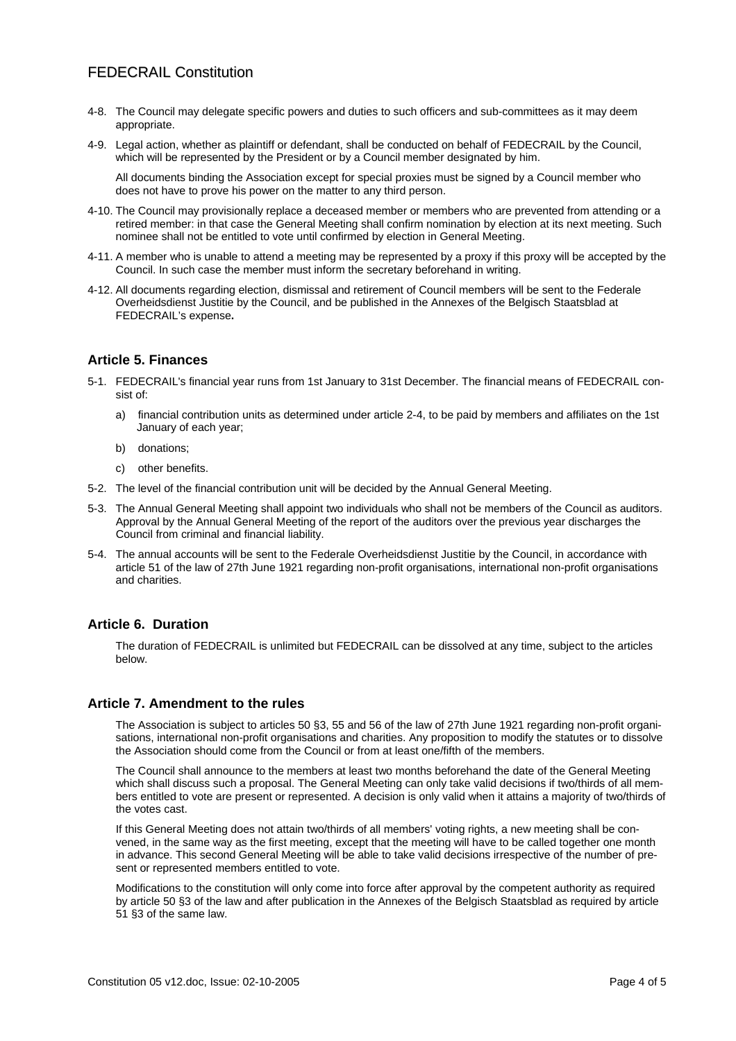# FEDECRAIL Constitution

- 4-8. The Council may delegate specific powers and duties to such officers and sub-committees as it may deem appropriate.
- 4-9. Legal action, whether as plaintiff or defendant, shall be conducted on behalf of FEDECRAIL by the Council, which will be represented by the President or by a Council member designated by him.

All documents binding the Association except for special proxies must be signed by a Council member who does not have to prove his power on the matter to any third person.

- 4-10. The Council may provisionally replace a deceased member or members who are prevented from attending or a retired member: in that case the General Meeting shall confirm nomination by election at its next meeting. Such nominee shall not be entitled to vote until confirmed by election in General Meeting.
- 4-11. A member who is unable to attend a meeting may be represented by a proxy if this proxy will be accepted by the Council. In such case the member must inform the secretary beforehand in writing.
- 4-12. All documents regarding election, dismissal and retirement of Council members will be sent to the Federale Overheidsdienst Justitie by the Council, and be published in the Annexes of the Belgisch Staatsblad at FEDECRAIL's expense**.**

### **Article 5. Finances**

- 5-1. FEDECRAIL's financial year runs from 1st January to 31st December. The financial means of FEDECRAIL consist of:
	- a) financial contribution units as determined under article 2-4, to be paid by members and affiliates on the 1st January of each year;
	- b) donations;
	- c) other benefits.
- 5-2. The level of the financial contribution unit will be decided by the Annual General Meeting.
- 5-3. The Annual General Meeting shall appoint two individuals who shall not be members of the Council as auditors. Approval by the Annual General Meeting of the report of the auditors over the previous year discharges the Council from criminal and financial liability.
- 5-4. The annual accounts will be sent to the Federale Overheidsdienst Justitie by the Council, in accordance with article 51 of the law of 27th June 1921 regarding non-profit organisations, international non-profit organisations and charities.

### **Article 6. Duration**

The duration of FEDECRAIL is unlimited but FEDECRAIL can be dissolved at any time, subject to the articles below.

#### **Article 7. Amendment to the rules**

The Association is subject to articles 50 §3, 55 and 56 of the law of 27th June 1921 regarding non-profit organisations, international non-profit organisations and charities. Any proposition to modify the statutes or to dissolve the Association should come from the Council or from at least one/fifth of the members.

The Council shall announce to the members at least two months beforehand the date of the General Meeting which shall discuss such a proposal. The General Meeting can only take valid decisions if two/thirds of all members entitled to vote are present or represented. A decision is only valid when it attains a majority of two/thirds of the votes cast.

If this General Meeting does not attain two/thirds of all members' voting rights, a new meeting shall be convened, in the same way as the first meeting, except that the meeting will have to be called together one month in advance. This second General Meeting will be able to take valid decisions irrespective of the number of present or represented members entitled to vote.

Modifications to the constitution will only come into force after approval by the competent authority as required by article 50 §3 of the law and after publication in the Annexes of the Belgisch Staatsblad as required by article 51 §3 of the same law.